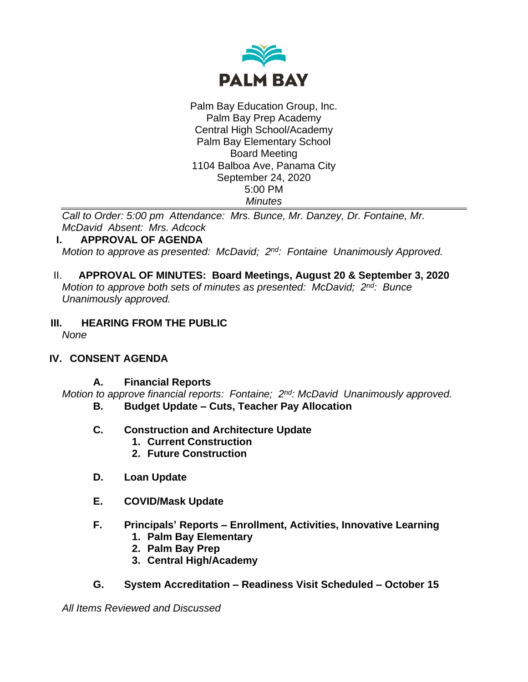

Palm Bay Education Group, Inc. Palm Bay Prep Academy Central High School/Academy Palm Bay Elementary School Board Meeting 1104 Balboa Ave, Panama City September 24, 2020 5:00 PM *Minutes*

*Call to Order: 5:00 pm Attendance: Mrs. Bunce, Mr. Danzey, Dr. Fontaine, Mr. McDavid Absent: Mrs. Adcock*

## **I. APPROVAL OF AGENDA**

*Motion to approve as presented: McDavid; 2nd: Fontaine Unanimously Approved.*

- II. **APPROVAL OF MINUTES: Board Meetings, August 20 & September 3, 2020** *Motion to approve both sets of minutes as presented: McDavid; 2nd: Bunce Unanimously approved.*
- **III. HEARING FROM THE PUBLIC**

*None*

## **IV. CONSENT AGENDA**

#### **A. Financial Reports**

*Motion to approve financial reports: Fontaine; 2nd: McDavid Unanimously approved.* **B. Budget Update – Cuts, Teacher Pay Allocation**

- **C. Construction and Architecture Update**
	- **1. Current Construction**
	- **2. Future Construction**
- **D. Loan Update**
- **E. COVID/Mask Update**
- **F. Principals' Reports – Enrollment, Activities, Innovative Learning**
	- **1. Palm Bay Elementary**
	- **2. Palm Bay Prep**
	- **3. Central High/Academy**
- **G. System Accreditation – Readiness Visit Scheduled – October 15**

*All Items Reviewed and Discussed*